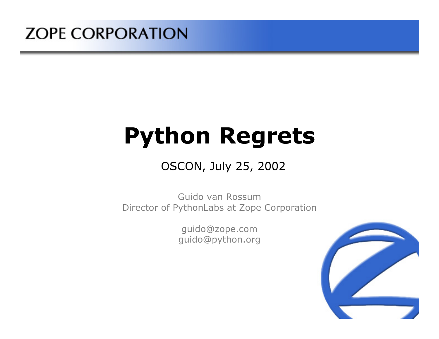#### **ZOPE CORPORATION**

# **Python Regrets**

#### OSCON, July 25, 2002

Guido van RossumDirector of PythonLabs at Zope Corporation

> guido@zope.com guido@python.org

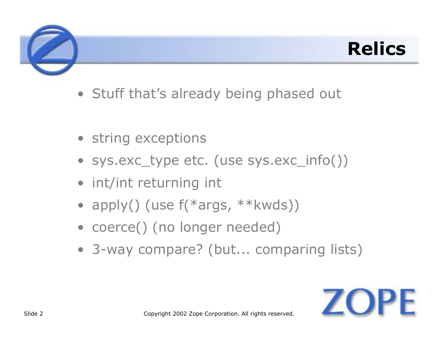### **Relics**

- Stuff that's already being phased out
- string exceptions
- sys.exc\_type etc. (use sys.exc\_info())
- int/int returning int
- apply() (use f(\*args, \*\*kwds))
- coerce() (no longer needed)
- 3-way compare? (but... comparing lists)

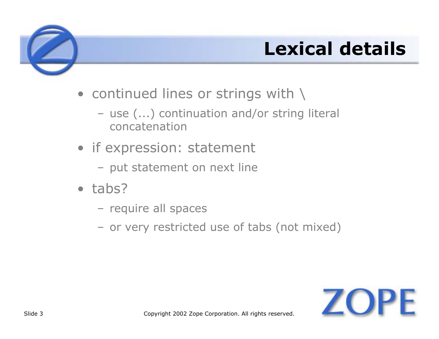## **Lexical details**

- $\bullet\,$  continued lines or strings with  $\backslash\,$ 
	- use (...) continuation and/or string literal concatenation
- if expression: statement
	- put statement on next line
- tabs?
	- require all spaces
	- or very restricted use of tabs (not mixed)

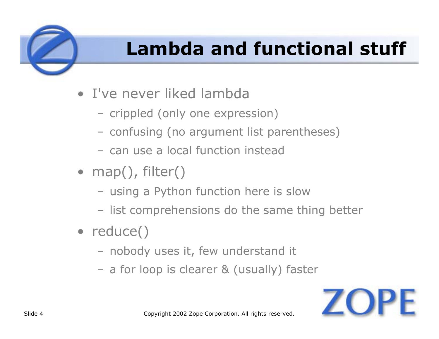## **Lambda and functional stuff**

- I've never liked lambda
	- crippled (only one expression)
	- confusing (no argument list parentheses)
	- can use a local function instead
- map(), filter()
	- using a Python function here is slow
	- list comprehensions do the same thing better
- reduce()
	- nobody uses it, few understand it
	- a for loop is clearer & (usually) faster

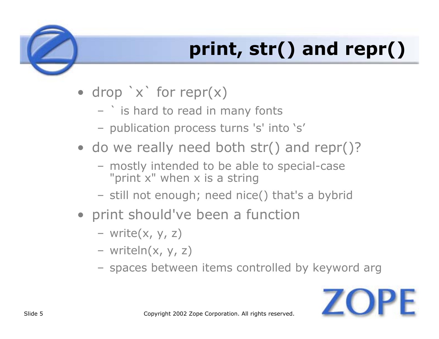## **print, str() and repr()**

- drop `x` for repr(x)
	- ` is hard to read in many fonts
	- publication process turns 's' into 's'
- do we really need both str() and repr()?
	- mostly intended to be able to special-case "print x" when x is a string
	- still not enough; need nice() that's a bybrid
- print should've been a function
	- write(x, y, z)
	- writeln(x, y, z)
	- spaces between items controlled by keyword arg

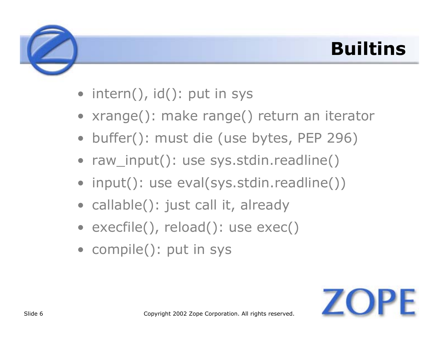## **Builtins**

- intern(), id(): put in sys
- xrange(): make range() return an iterator
- buffer(): must die (use bytes, PEP 296)
- raw\_input(): use sys.stdin.readline()
- input(): use eval(sys.stdin.readline())
- callable(): just call it, already
- execfile(), reload(): use exec()
- compile(): put in sys

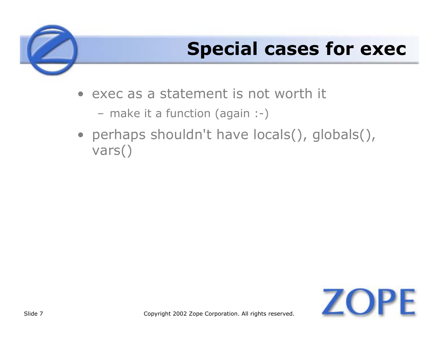## **Special cases for exec**

- exec as a statement is not worth it
	- make it a function (again :-)
- perhaps shouldn't have locals(), globals(), vars()

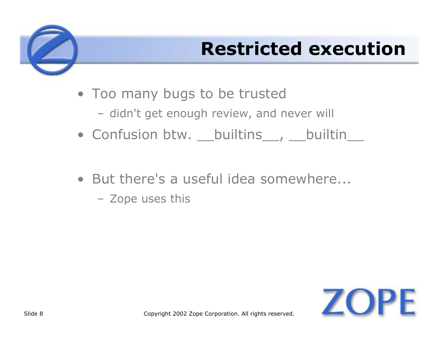## **Restricted execution**

- Too many bugs to be trusted
	- didn't get enough review, and never will
- Confusion btw. \_\_\_builtins\_\_\_, \_\_\_builtin\_\_\_
- But there's a useful idea somewhere...
	- Zope uses this